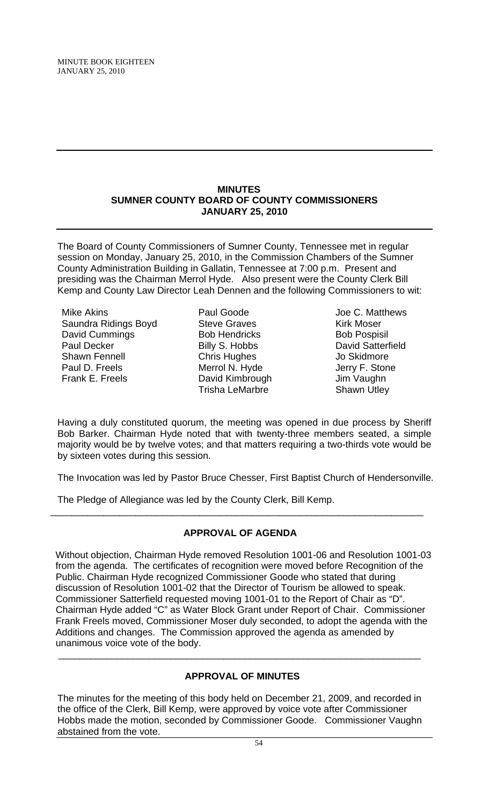MINUTE BOOK EIGHTEEN JANUARY 25, 2010

#### **MINUTES SUMNER COUNTY BOARD OF COUNTY COMMISSIONERS JANUARY 25, 2010**

The Board of County Commissioners of Sumner County, Tennessee met in regular session on Monday, January 25, 2010, in the Commission Chambers of the Sumner County Administration Building in Gallatin, Tennessee at 7:00 p.m. Present and presiding was the Chairman Merrol Hyde. Also present were the County Clerk Bill Kemp and County Law Director Leah Dennen and the following Commissioners to wit:

Mike Akins Saundra Ridings Boyd David Cummings Paul Decker Shawn Fennell Paul D. Freels Frank E. Freels

Paul Goode Steve Graves Bob Hendricks Billy S. Hobbs Chris Hughes Merrol N. Hyde David Kimbrough Trisha LeMarbre

Joe C. Matthews Kirk Moser Bob Pospisil David Satterfield Jo Skidmore Jerry F. Stone Jim Vaughn Shawn Utley

Having a duly constituted quorum, the meeting was opened in due process by Sheriff Bob Barker. Chairman Hyde noted that with twenty-three members seated, a simple majority would be by twelve votes; and that matters requiring a two-thirds vote would be by sixteen votes during this session.

The Invocation was led by Pastor Bruce Chesser, First Baptist Church of Hendersonville.

The Pledge of Allegiance was led by the County Clerk, Bill Kemp.

# **APPROVAL OF AGENDA**

\_\_\_\_\_\_\_\_\_\_\_\_\_\_\_\_\_\_\_\_\_\_\_\_\_\_\_\_\_\_\_\_\_\_\_\_\_\_\_\_\_\_\_\_\_\_\_\_\_\_\_\_\_\_\_\_\_\_\_\_\_\_\_\_\_\_\_\_\_\_

Without objection, Chairman Hyde removed Resolution 1001-06 and Resolution 1001-03 from the agenda. The certificates of recognition were moved before Recognition of the Public. Chairman Hyde recognized Commissioner Goode who stated that during discussion of Resolution 1001-02 that the Director of Tourism be allowed to speak. Commissioner Satterfield requested moving 1001-01 to the Report of Chair as "D". Chairman Hyde added "C" as Water Block Grant under Report of Chair. Commissioner Frank Freels moved, Commissioner Moser duly seconded, to adopt the agenda with the Additions and changes. The Commission approved the agenda as amended by unanimous voice vote of the body.

## **APPROVAL OF MINUTES**

 $\overline{\phantom{a}}$  , and the contribution of the contribution of the contribution of the contribution of the contribution of the contribution of the contribution of the contribution of the contribution of the contribution of the

The minutes for the meeting of this body held on December 21, 2009, and recorded in the office of the Clerk, Bill Kemp, were approved by voice vote after Commissioner Hobbs made the motion, seconded by Commissioner Goode. Commissioner Vaughn abstained from the vote.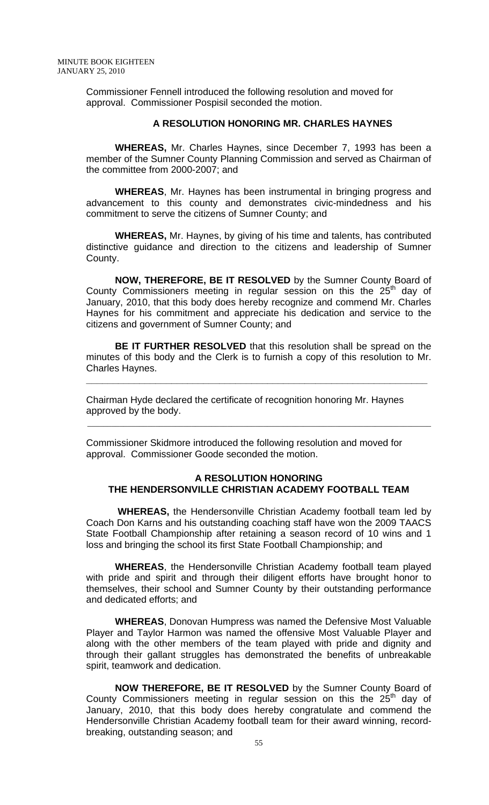Commissioner Fennell introduced the following resolution and moved for approval. Commissioner Pospisil seconded the motion.

#### **A RESOLUTION HONORING MR. CHARLES HAYNES**

 **WHEREAS,** Mr. Charles Haynes, since December 7, 1993 has been a member of the Sumner County Planning Commission and served as Chairman of the committee from 2000-2007; and

**WHEREAS**, Mr. Haynes has been instrumental in bringing progress and advancement to this county and demonstrates civic-mindedness and his commitment to serve the citizens of Sumner County; and

**WHEREAS,** Mr. Haynes, by giving of his time and talents, has contributed distinctive guidance and direction to the citizens and leadership of Sumner County.

**NOW, THEREFORE, BE IT RESOLVED** by the Sumner County Board of County Commissioners meeting in regular session on this the  $25<sup>th</sup>$  day of January, 2010, that this body does hereby recognize and commend Mr. Charles Haynes for his commitment and appreciate his dedication and service to the citizens and government of Sumner County; and

**BE IT FURTHER RESOLVED** that this resolution shall be spread on the minutes of this body and the Clerk is to furnish a copy of this resolution to Mr. Charles Haynes.

**\_\_\_\_\_\_\_\_\_\_\_\_\_\_\_\_\_\_\_\_\_\_\_\_\_\_\_\_\_\_\_\_\_\_\_\_\_\_\_\_\_\_\_\_\_\_\_\_\_\_\_\_\_\_\_\_\_\_\_\_\_\_\_\_**

Chairman Hyde declared the certificate of recognition honoring Mr. Haynes approved by the body.

 $\frac{1}{2}$  ,  $\frac{1}{2}$  ,  $\frac{1}{2}$  ,  $\frac{1}{2}$  ,  $\frac{1}{2}$  ,  $\frac{1}{2}$  ,  $\frac{1}{2}$  ,  $\frac{1}{2}$  ,  $\frac{1}{2}$  ,  $\frac{1}{2}$  ,  $\frac{1}{2}$  ,  $\frac{1}{2}$  ,  $\frac{1}{2}$  ,  $\frac{1}{2}$  ,  $\frac{1}{2}$  ,  $\frac{1}{2}$  ,  $\frac{1}{2}$  ,  $\frac{1}{2}$  ,  $\frac{1$ 

Commissioner Skidmore introduced the following resolution and moved for approval. Commissioner Goode seconded the motion.

#### **A RESOLUTION HONORING THE HENDERSONVILLE CHRISTIAN ACADEMY FOOTBALL TEAM**

 **WHEREAS,** the Hendersonville Christian Academy football team led by Coach Don Karns and his outstanding coaching staff have won the 2009 TAACS State Football Championship after retaining a season record of 10 wins and 1 loss and bringing the school its first State Football Championship; and

**WHEREAS**, the Hendersonville Christian Academy football team played with pride and spirit and through their diligent efforts have brought honor to themselves, their school and Sumner County by their outstanding performance and dedicated efforts; and

**WHEREAS**, Donovan Humpress was named the Defensive Most Valuable Player and Taylor Harmon was named the offensive Most Valuable Player and along with the other members of the team played with pride and dignity and through their gallant struggles has demonstrated the benefits of unbreakable spirit, teamwork and dedication.

**NOW THEREFORE, BE IT RESOLVED** by the Sumner County Board of County Commissioners meeting in regular session on this the  $25<sup>th</sup>$  day of January, 2010, that this body does hereby congratulate and commend the Hendersonville Christian Academy football team for their award winning, recordbreaking, outstanding season; and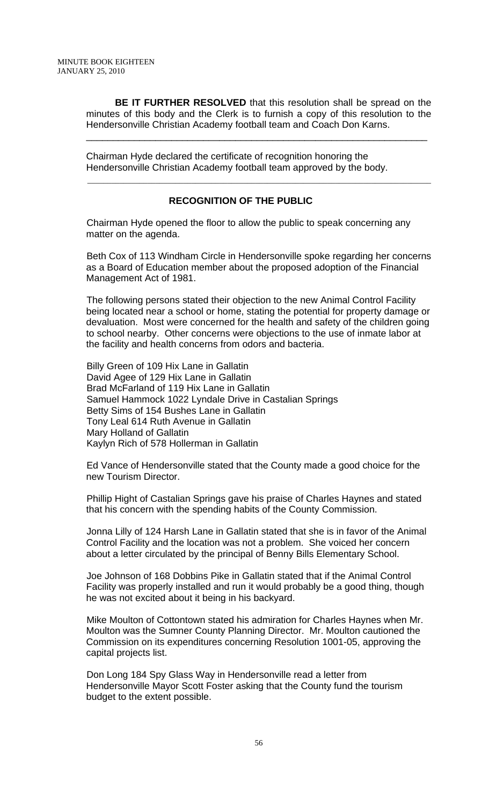**BE IT FURTHER RESOLVED** that this resolution shall be spread on the minutes of this body and the Clerk is to furnish a copy of this resolution to the Hendersonville Christian Academy football team and Coach Don Karns.

\_\_\_\_\_\_\_\_\_\_\_\_\_\_\_\_\_\_\_\_\_\_\_\_\_\_\_\_\_\_\_\_\_\_\_\_\_\_\_\_\_\_\_\_\_\_\_\_\_\_\_\_\_\_\_\_\_\_\_\_\_\_\_\_

Chairman Hyde declared the certificate of recognition honoring the Hendersonville Christian Academy football team approved by the body.

#### **RECOGNITION OF THE PUBLIC**

\_\_\_\_\_\_\_\_\_\_\_\_\_\_\_\_\_\_\_\_\_\_\_\_\_\_\_\_\_\_\_\_\_\_\_\_\_\_\_\_\_\_\_\_\_\_\_\_\_\_\_\_\_\_\_\_\_\_\_\_\_\_\_\_\_\_\_\_\_\_\_\_\_\_\_\_\_\_\_\_\_\_\_\_\_\_

Chairman Hyde opened the floor to allow the public to speak concerning any matter on the agenda.

Beth Cox of 113 Windham Circle in Hendersonville spoke regarding her concerns as a Board of Education member about the proposed adoption of the Financial Management Act of 1981.

The following persons stated their objection to the new Animal Control Facility being located near a school or home, stating the potential for property damage or devaluation. Most were concerned for the health and safety of the children going to school nearby. Other concerns were objections to the use of inmate labor at the facility and health concerns from odors and bacteria.

Billy Green of 109 Hix Lane in Gallatin David Agee of 129 Hix Lane in Gallatin Brad McFarland of 119 Hix Lane in Gallatin Samuel Hammock 1022 Lyndale Drive in Castalian Springs Betty Sims of 154 Bushes Lane in Gallatin Tony Leal 614 Ruth Avenue in Gallatin Mary Holland of Gallatin Kaylyn Rich of 578 Hollerman in Gallatin

Ed Vance of Hendersonville stated that the County made a good choice for the new Tourism Director.

Phillip Hight of Castalian Springs gave his praise of Charles Haynes and stated that his concern with the spending habits of the County Commission.

Jonna Lilly of 124 Harsh Lane in Gallatin stated that she is in favor of the Animal Control Facility and the location was not a problem. She voiced her concern about a letter circulated by the principal of Benny Bills Elementary School.

Joe Johnson of 168 Dobbins Pike in Gallatin stated that if the Animal Control Facility was properly installed and run it would probably be a good thing, though he was not excited about it being in his backyard.

Mike Moulton of Cottontown stated his admiration for Charles Haynes when Mr. Moulton was the Sumner County Planning Director. Mr. Moulton cautioned the Commission on its expenditures concerning Resolution 1001-05, approving the capital projects list.

Don Long 184 Spy Glass Way in Hendersonville read a letter from Hendersonville Mayor Scott Foster asking that the County fund the tourism budget to the extent possible.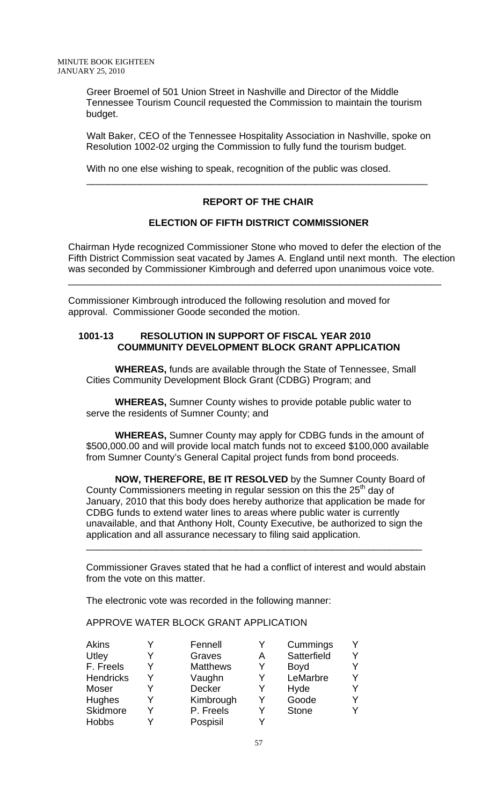Greer Broemel of 501 Union Street in Nashville and Director of the Middle Tennessee Tourism Council requested the Commission to maintain the tourism budget.

Walt Baker, CEO of the Tennessee Hospitality Association in Nashville, spoke on Resolution 1002-02 urging the Commission to fully fund the tourism budget.

With no one else wishing to speak, recognition of the public was closed.

#### **REPORT OF THE CHAIR**

\_\_\_\_\_\_\_\_\_\_\_\_\_\_\_\_\_\_\_\_\_\_\_\_\_\_\_\_\_\_\_\_\_\_\_\_\_\_\_\_\_\_\_\_\_\_\_\_\_\_\_\_\_\_\_\_\_\_\_\_\_\_\_\_

#### **ELECTION OF FIFTH DISTRICT COMMISSIONER**

Chairman Hyde recognized Commissioner Stone who moved to defer the election of the Fifth District Commission seat vacated by James A. England until next month. The election was seconded by Commissioner Kimbrough and deferred upon unanimous voice vote.

\_\_\_\_\_\_\_\_\_\_\_\_\_\_\_\_\_\_\_\_\_\_\_\_\_\_\_\_\_\_\_\_\_\_\_\_\_\_\_\_\_\_\_\_\_\_\_\_\_\_\_\_\_\_\_\_\_\_\_\_\_\_\_\_\_\_\_\_\_\_

Commissioner Kimbrough introduced the following resolution and moved for approval. Commissioner Goode seconded the motion.

#### **1001-13 RESOLUTION IN SUPPORT OF FISCAL YEAR 2010 COUMMUNITY DEVELOPMENT BLOCK GRANT APPLICATION**

**WHEREAS,** funds are available through the State of Tennessee, Small Cities Community Development Block Grant (CDBG) Program; and

**WHEREAS,** Sumner County wishes to provide potable public water to serve the residents of Sumner County; and

**WHEREAS,** Sumner County may apply for CDBG funds in the amount of \$500,000.00 and will provide local match funds not to exceed \$100,000 available from Sumner County's General Capital project funds from bond proceeds.

**NOW, THEREFORE, BE IT RESOLVED** by the Sumner County Board of County Commissioners meeting in regular session on this the  $25<sup>th</sup>$  day of January, 2010 that this body does hereby authorize that application be made for CDBG funds to extend water lines to areas where public water is currently unavailable, and that Anthony Holt, County Executive, be authorized to sign the application and all assurance necessary to filing said application.

Commissioner Graves stated that he had a conflict of interest and would abstain from the vote on this matter.

\_\_\_\_\_\_\_\_\_\_\_\_\_\_\_\_\_\_\_\_\_\_\_\_\_\_\_\_\_\_\_\_\_\_\_\_\_\_\_\_\_\_\_\_\_\_\_\_\_\_\_\_\_\_\_\_\_\_\_\_\_\_\_

The electronic vote was recorded in the following manner:

APPROVE WATER BLOCK GRANT APPLICATION

| Akins            | Fennell         |   | Cummings     |  |
|------------------|-----------------|---|--------------|--|
| Utley            | Graves          | Α | Satterfield  |  |
| F. Freels        | <b>Matthews</b> | Y | <b>Boyd</b>  |  |
| <b>Hendricks</b> | Vaughn          | Y | LeMarbre     |  |
| Moser            | Decker          | Y | Hyde         |  |
| <b>Hughes</b>    | Kimbrough       | Y | Goode        |  |
| Skidmore         | P. Freels       | Y | <b>Stone</b> |  |
| <b>Hobbs</b>     | Pospisil        |   |              |  |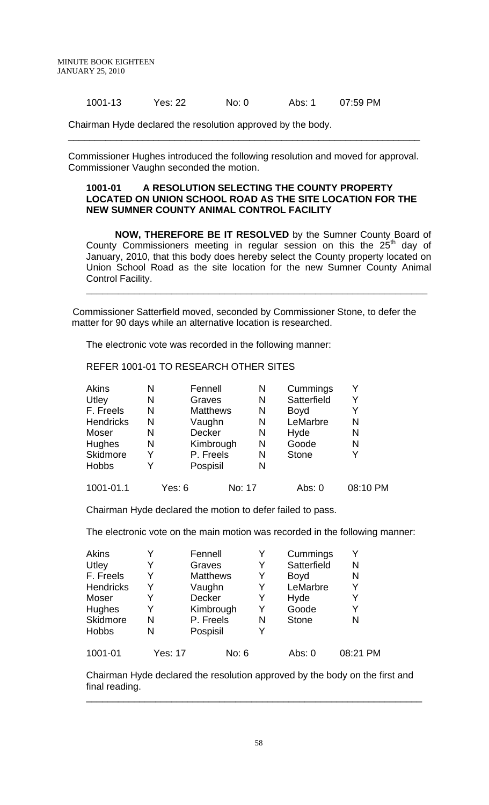1001-13 Yes: 22 No: 0 Abs: 1 07:59 PM

Chairman Hyde declared the resolution approved by the body.

Commissioner Hughes introduced the following resolution and moved for approval. Commissioner Vaughn seconded the motion.

\_\_\_\_\_\_\_\_\_\_\_\_\_\_\_\_\_\_\_\_\_\_\_\_\_\_\_\_\_\_\_\_\_\_\_\_\_\_\_\_\_\_\_\_\_\_\_\_\_\_\_\_\_\_\_\_\_\_\_\_\_\_\_\_\_\_

#### **1001-01 A RESOLUTION SELECTING THE COUNTY PROPERTY LOCATED ON UNION SCHOOL ROAD AS THE SITE LOCATION FOR THE NEW SUMNER COUNTY ANIMAL CONTROL FACILITY**

**NOW, THEREFORE BE IT RESOLVED** by the Sumner County Board of County Commissioners meeting in regular session on this the  $25<sup>th</sup>$  day of January, 2010, that this body does hereby select the County property located on Union School Road as the site location for the new Sumner County Animal Control Facility.

**\_\_\_\_\_\_\_\_\_\_\_\_\_\_\_\_\_\_\_\_\_\_\_\_\_\_\_\_\_\_\_\_\_\_\_\_\_\_\_\_\_\_\_\_\_\_\_\_\_\_\_\_\_\_\_\_\_\_\_\_\_\_\_\_**

 Commissioner Satterfield moved, seconded by Commissioner Stone, to defer the matter for 90 days while an alternative location is researched.

The electronic vote was recorded in the following manner:

REFER 1001-01 TO RESEARCH OTHER SITES

| Akins            | N | Fennell          | N | Cummings     | Y        |
|------------------|---|------------------|---|--------------|----------|
| Utley            | N | Graves           | N | Satterfield  | Y        |
| F. Freels        | N | <b>Matthews</b>  | N | Boyd         | Y        |
| <b>Hendricks</b> | N | Vaughn           | N | LeMarbre     | N        |
| Moser            | N | <b>Decker</b>    | N | Hyde         | N        |
| <b>Hughes</b>    | N | Kimbrough        | N | Goode        | N        |
| Skidmore         | Y | P. Freels        | N | <b>Stone</b> | Y        |
| <b>Hobbs</b>     |   | Pospisil         | N |              |          |
| 1001-01.1        |   | No: 17<br>Yes: 6 |   | Abs: 0       | 08:10 PM |

Chairman Hyde declared the motion to defer failed to pass.

The electronic vote on the main motion was recorded in the following manner:

| Akins            |         | Fennell         | Y | Cummings     |          |
|------------------|---------|-----------------|---|--------------|----------|
| Utley            | Y       | Graves          | Y | Satterfield  | N        |
| F. Freels        | Y       | <b>Matthews</b> | Y | <b>Boyd</b>  | N        |
| <b>Hendricks</b> | Y       | Vaughn          | Y | LeMarbre     | Y        |
| Moser            | Y       | <b>Decker</b>   | Y | Hyde         |          |
| Hughes           | Y       | Kimbrough       | Y | Goode        |          |
| Skidmore         | N       | P. Freels       | N | <b>Stone</b> | N        |
| <b>Hobbs</b>     | N       | Pospisil        | Y |              |          |
| 1001-01          | Yes: 17 | No: 6           |   | Abs: 0       | 08:21 PM |

Chairman Hyde declared the resolution approved by the body on the first and final reading. \_\_\_\_\_\_\_\_\_\_\_\_\_\_\_\_\_\_\_\_\_\_\_\_\_\_\_\_\_\_\_\_\_\_\_\_\_\_\_\_\_\_\_\_\_\_\_\_\_\_\_\_\_\_\_\_\_\_\_\_\_\_\_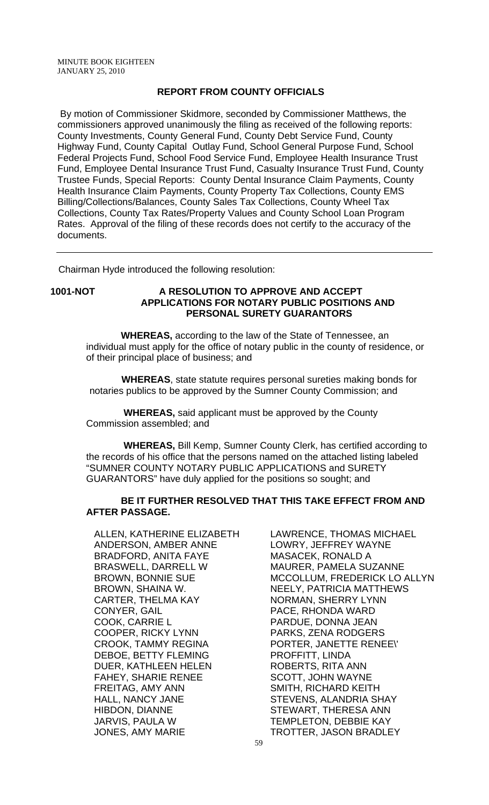#### **REPORT FROM COUNTY OFFICIALS**

 By motion of Commissioner Skidmore, seconded by Commissioner Matthews, the commissioners approved unanimously the filing as received of the following reports: County Investments, County General Fund, County Debt Service Fund, County Highway Fund, County Capital Outlay Fund, School General Purpose Fund, School Federal Projects Fund, School Food Service Fund, Employee Health Insurance Trust Fund, Employee Dental Insurance Trust Fund, Casualty Insurance Trust Fund, County Trustee Funds, Special Reports: County Dental Insurance Claim Payments, County Health Insurance Claim Payments, County Property Tax Collections, County EMS Billing/Collections/Balances, County Sales Tax Collections, County Wheel Tax Collections, County Tax Rates/Property Values and County School Loan Program Rates. Approval of the filing of these records does not certify to the accuracy of the documents.

Chairman Hyde introduced the following resolution:

# **1001-NOT A RESOLUTION TO APPROVE AND ACCEPT**

# **APPLICATIONS FOR NOTARY PUBLIC POSITIONS AND PERSONAL SURETY GUARANTORS**

 **WHEREAS,** according to the law of the State of Tennessee, an individual must apply for the office of notary public in the county of residence, or of their principal place of business; and

 **WHEREAS**, state statute requires personal sureties making bonds for notaries publics to be approved by the Sumner County Commission; and

 **WHEREAS,** said applicant must be approved by the County Commission assembled; and

 **WHEREAS,** Bill Kemp, Sumner County Clerk, has certified according to the records of his office that the persons named on the attached listing labeled "SUMNER COUNTY NOTARY PUBLIC APPLICATIONS and SURETY GUARANTORS" have duly applied for the positions so sought; and

#### **BE IT FURTHER RESOLVED THAT THIS TAKE EFFECT FROM AND AFTER PASSAGE.**

ALLEN, KATHERINE ELIZABETH ANDERSON, AMBER ANNE BRADFORD, ANITA FAYE BRASWELL, DARRELL W BROWN, BONNIE SUE BROWN, SHAINA W. CARTER, THELMA KAY CONYER, GAIL COOK, CARRIE L COOPER, RICKY LYNN CROOK, TAMMY REGINA DEBOE, BETTY FLEMING DUER, KATHLEEN HELEN FAHEY, SHARIE RENEE FREITAG, AMY ANN HALL, NANCY JANE HIBDON, DIANNE JARVIS, PAULA W JONES, AMY MARIE

LAWRENCE, THOMAS MICHAEL LOWRY, JEFFREY WAYNE MASACEK, RONALD A MAURER, PAMELA SUZANNE MCCOLLUM, FREDERICK LO ALLYN NEELY, PATRICIA MATTHEWS NORMAN, SHERRY LYNN PACE, RHONDA WARD PARDUE, DONNA JEAN PARKS, ZENA RODGERS PORTER, JANETTE RENEE\' PROFFITT, LINDA ROBERTS, RITA ANN SCOTT, JOHN WAYNE SMITH, RICHARD KEITH STEVENS, ALANDRIA SHAY STEWART, THERESA ANN TEMPLETON, DEBBIE KAY TROTTER, JASON BRADLEY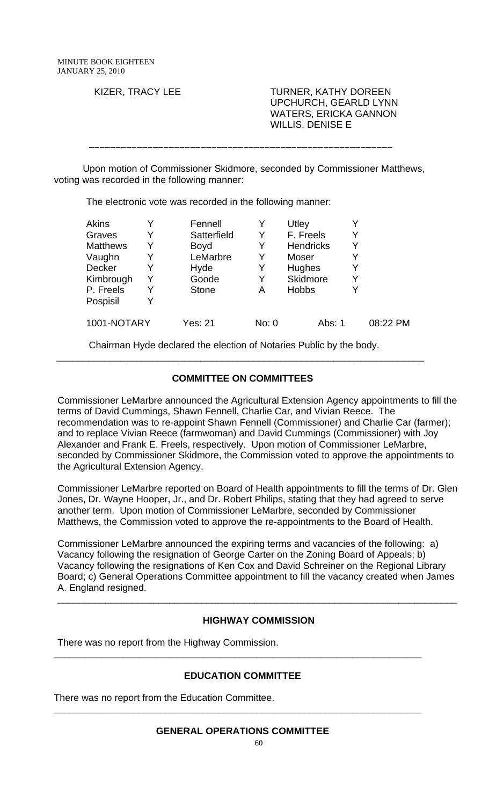KIZER, TRACY LEE TURNER, KATHY DOREEN UPCHURCH, GEARLD LYNN WATERS, ERICKA GANNON WILLIS, DENISE E

Upon motion of Commissioner Skidmore, seconded by Commissioner Matthews, voting was recorded in the following manner:

 **–––––––––––––––––––––––––––––––––––––––––––––––––––––––––**

The electronic vote was recorded in the following manner:

| <b>Akins</b>    |   | Fennell      |       | Utley            |   |          |
|-----------------|---|--------------|-------|------------------|---|----------|
| Graves          |   | Satterfield  | Y     | F. Freels        |   |          |
| <b>Matthews</b> | Y | Boyd         | Y     | <b>Hendricks</b> | Y |          |
| Vaughn          | Y | LeMarbre     | Y     | Moser            | Y |          |
| Decker          |   | Hyde         | Y     | Hughes           | Y |          |
| Kimbrough       | Y | Goode        | Y     | Skidmore         | Y |          |
| P. Freels       | Y | <b>Stone</b> | Α     | <b>Hobbs</b>     |   |          |
| Pospisil        |   |              |       |                  |   |          |
| 1001-NOTARY     |   | Yes: 21      | No: 0 | Abs: 1           |   | 08:22 PM |

Chairman Hyde declared the election of Notaries Public by the body.

# **COMMITTEE ON COMMITTEES**

\_\_\_\_\_\_\_\_\_\_\_\_\_\_\_\_\_\_\_\_\_\_\_\_\_\_\_\_\_\_\_\_\_\_\_\_\_\_\_\_\_\_\_\_\_\_\_\_\_\_\_\_\_\_\_\_\_\_\_\_\_\_\_\_\_\_\_\_\_

Commissioner LeMarbre announced the Agricultural Extension Agency appointments to fill the terms of David Cummings, Shawn Fennell, Charlie Car, and Vivian Reece. The recommendation was to re-appoint Shawn Fennell (Commissioner) and Charlie Car (farmer); and to replace Vivian Reece (farmwoman) and David Cummings (Commissioner) with Joy Alexander and Frank E. Freels, respectively. Upon motion of Commissioner LeMarbre, seconded by Commissioner Skidmore, the Commission voted to approve the appointments to the Agricultural Extension Agency.

Commissioner LeMarbre reported on Board of Health appointments to fill the terms of Dr. Glen Jones, Dr. Wayne Hooper, Jr., and Dr. Robert Philips, stating that they had agreed to serve another term. Upon motion of Commissioner LeMarbre, seconded by Commissioner Matthews, the Commission voted to approve the re-appointments to the Board of Health.

Commissioner LeMarbre announced the expiring terms and vacancies of the following: a) Vacancy following the resignation of George Carter on the Zoning Board of Appeals; b) Vacancy following the resignations of Ken Cox and David Schreiner on the Regional Library Board; c) General Operations Committee appointment to fill the vacancy created when James A. England resigned.

## **HIGHWAY COMMISSION**

\_\_\_\_\_\_\_\_\_\_\_\_\_\_\_\_\_\_\_\_\_\_\_\_\_\_\_\_\_\_\_\_\_\_\_\_\_\_\_\_\_\_\_\_\_\_\_\_\_\_\_\_\_\_\_\_\_\_\_\_\_\_\_\_\_\_\_\_\_\_\_\_\_\_\_

There was no report from the Highway Commission.

#### **EDUCATION COMMITTEE**

**\_\_\_\_\_\_\_\_\_\_\_\_\_\_\_\_\_\_\_\_\_\_\_\_\_\_\_\_\_\_\_\_\_\_\_\_\_\_\_\_\_\_\_\_\_\_\_\_\_\_\_\_\_\_\_\_\_\_\_\_\_\_\_\_\_\_\_\_\_** 

There was no report from the Education Committee.

**\_\_\_\_\_\_\_\_\_\_\_\_\_\_\_\_\_\_\_\_\_\_\_\_\_\_\_\_\_\_\_\_\_\_\_\_\_\_\_\_\_\_\_\_\_\_\_\_\_\_\_\_\_\_\_\_\_\_\_\_\_\_\_\_\_\_\_\_\_**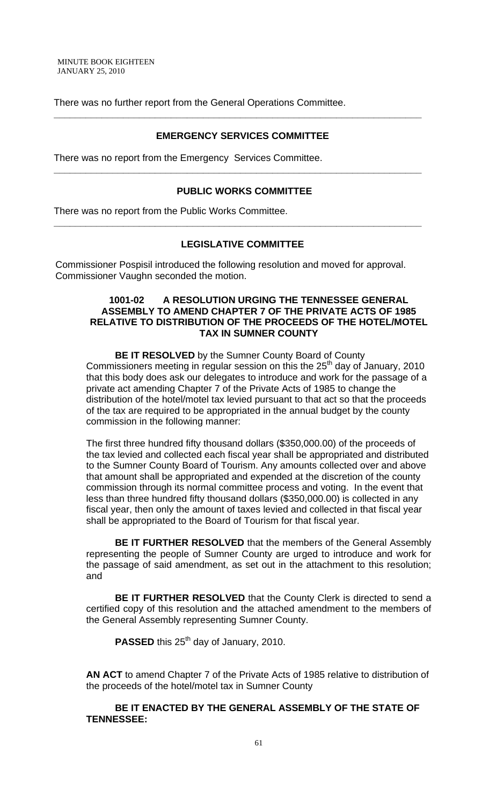There was no further report from the General Operations Committee.

#### **EMERGENCY SERVICES COMMITTEE**

**\_\_\_\_\_\_\_\_\_\_\_\_\_\_\_\_\_\_\_\_\_\_\_\_\_\_\_\_\_\_\_\_\_\_\_\_\_\_\_\_\_\_\_\_\_\_\_\_\_\_\_\_\_\_\_\_\_\_\_\_\_\_\_\_\_\_\_\_\_** 

There was no report from the Emergency Services Committee.

#### **PUBLIC WORKS COMMITTEE**

**\_\_\_\_\_\_\_\_\_\_\_\_\_\_\_\_\_\_\_\_\_\_\_\_\_\_\_\_\_\_\_\_\_\_\_\_\_\_\_\_\_\_\_\_\_\_\_\_\_\_\_\_\_\_\_\_\_\_\_\_\_\_\_\_\_\_\_\_\_** 

There was no report from the Public Works Committee.

#### **LEGISLATIVE COMMITTEE**

**\_\_\_\_\_\_\_\_\_\_\_\_\_\_\_\_\_\_\_\_\_\_\_\_\_\_\_\_\_\_\_\_\_\_\_\_\_\_\_\_\_\_\_\_\_\_\_\_\_\_\_\_\_\_\_\_\_\_\_\_\_\_\_\_\_\_\_\_\_** 

 Commissioner Pospisil introduced the following resolution and moved for approval. Commissioner Vaughn seconded the motion.

#### **1001-02 A RESOLUTION URGING THE TENNESSEE GENERAL ASSEMBLY TO AMEND CHAPTER 7 OF THE PRIVATE ACTS OF 1985 RELATIVE TO DISTRIBUTION OF THE PROCEEDS OF THE HOTEL/MOTEL TAX IN SUMNER COUNTY**

 **BE IT RESOLVED** by the Sumner County Board of County Commissioners meeting in regular session on this the  $25<sup>th</sup>$  day of January, 2010 that this body does ask our delegates to introduce and work for the passage of a private act amending Chapter 7 of the Private Acts of 1985 to change the distribution of the hotel/motel tax levied pursuant to that act so that the proceeds of the tax are required to be appropriated in the annual budget by the county commission in the following manner:

The first three hundred fifty thousand dollars (\$350,000.00) of the proceeds of the tax levied and collected each fiscal year shall be appropriated and distributed to the Sumner County Board of Tourism. Any amounts collected over and above that amount shall be appropriated and expended at the discretion of the county commission through its normal committee process and voting. In the event that less than three hundred fifty thousand dollars (\$350,000.00) is collected in any fiscal year, then only the amount of taxes levied and collected in that fiscal year shall be appropriated to the Board of Tourism for that fiscal year.

**BE IT FURTHER RESOLVED** that the members of the General Assembly representing the people of Sumner County are urged to introduce and work for the passage of said amendment, as set out in the attachment to this resolution; and

**BE IT FURTHER RESOLVED** that the County Clerk is directed to send a certified copy of this resolution and the attached amendment to the members of the General Assembly representing Sumner County.

**PASSED** this 25<sup>th</sup> day of January, 2010.

**AN ACT** to amend Chapter 7 of the Private Acts of 1985 relative to distribution of the proceeds of the hotel/motel tax in Sumner County

 **BE IT ENACTED BY THE GENERAL ASSEMBLY OF THE STATE OF TENNESSEE:**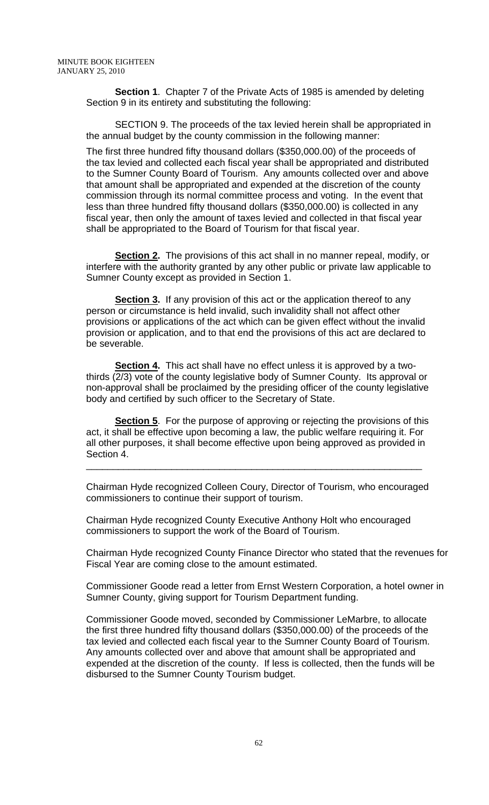**Section 1.** Chapter 7 of the Private Acts of 1985 is amended by deleting Section 9 in its entirety and substituting the following:

SECTION 9. The proceeds of the tax levied herein shall be appropriated in the annual budget by the county commission in the following manner:

The first three hundred fifty thousand dollars (\$350,000.00) of the proceeds of the tax levied and collected each fiscal year shall be appropriated and distributed to the Sumner County Board of Tourism. Any amounts collected over and above that amount shall be appropriated and expended at the discretion of the county commission through its normal committee process and voting. In the event that less than three hundred fifty thousand dollars (\$350,000.00) is collected in any fiscal year, then only the amount of taxes levied and collected in that fiscal year shall be appropriated to the Board of Tourism for that fiscal year.

**Section 2.** The provisions of this act shall in no manner repeal, modify, or interfere with the authority granted by any other public or private law applicable to Sumner County except as provided in Section 1.

**Section 3.** If any provision of this act or the application thereof to any person or circumstance is held invalid, such invalidity shall not affect other provisions or applications of the act which can be given effect without the invalid provision or application, and to that end the provisions of this act are declared to be severable.

**Section 4.** This act shall have no effect unless it is approved by a twothirds (2/3) vote of the county legislative body of Sumner County. Its approval or non-approval shall be proclaimed by the presiding officer of the county legislative body and certified by such officer to the Secretary of State.

**Section 5**. For the purpose of approving or rejecting the provisions of this act, it shall be effective upon becoming a law, the public welfare requiring it. For all other purposes, it shall become effective upon being approved as provided in Section 4.

\_\_\_\_\_\_\_\_\_\_\_\_\_\_\_\_\_\_\_\_\_\_\_\_\_\_\_\_\_\_\_\_\_\_\_\_\_\_\_\_\_\_\_\_\_\_\_\_\_\_\_\_\_\_\_\_\_\_\_\_\_\_\_

Chairman Hyde recognized Colleen Coury, Director of Tourism, who encouraged commissioners to continue their support of tourism.

Chairman Hyde recognized County Executive Anthony Holt who encouraged commissioners to support the work of the Board of Tourism.

Chairman Hyde recognized County Finance Director who stated that the revenues for Fiscal Year are coming close to the amount estimated.

Commissioner Goode read a letter from Ernst Western Corporation, a hotel owner in Sumner County, giving support for Tourism Department funding.

Commissioner Goode moved, seconded by Commissioner LeMarbre, to allocate the first three hundred fifty thousand dollars (\$350,000.00) of the proceeds of the tax levied and collected each fiscal year to the Sumner County Board of Tourism. Any amounts collected over and above that amount shall be appropriated and expended at the discretion of the county. If less is collected, then the funds will be disbursed to the Sumner County Tourism budget.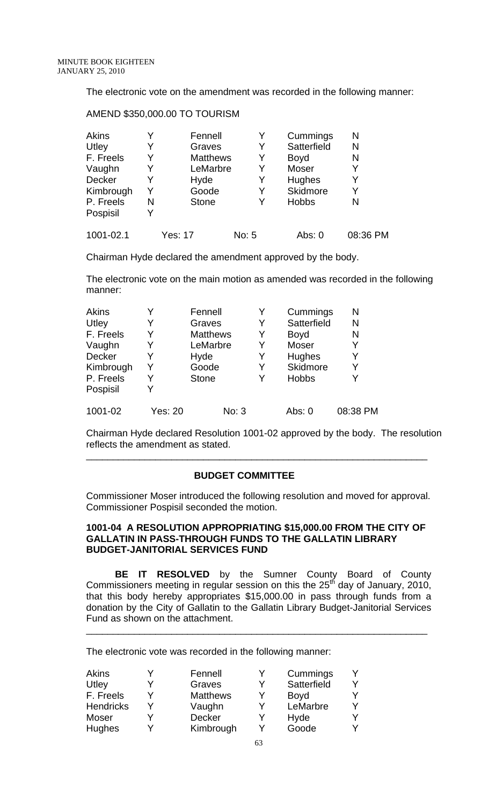The electronic vote on the amendment was recorded in the following manner:

#### AMEND \$350,000.00 TO TOURISM

| <b>Akins</b> |   | Fennell         | Y     | Cummings     | N        |
|--------------|---|-----------------|-------|--------------|----------|
| Utley        |   | Graves          | Y     | Satterfield  | N        |
| F. Freels    |   | <b>Matthews</b> | Y     | <b>Boyd</b>  | N        |
| Vaughn       |   | LeMarbre        | Y     | <b>Moser</b> | Y        |
| Decker       |   | Hyde            | Y     | Hughes       | Y        |
| Kimbrough    |   | Goode           | Y     | Skidmore     | Y        |
| P. Freels    | N | <b>Stone</b>    | Y     | <b>Hobbs</b> | N        |
| Pospisil     |   |                 |       |              |          |
| 1001-02.1    |   | Yes: 17         | No: 5 | Abs: $0$     | 08:36 PM |

Chairman Hyde declared the amendment approved by the body.

The electronic vote on the main motion as amended was recorded in the following manner:

| Akins     | v              | Fennell         | Y | Cummings     | N        |
|-----------|----------------|-----------------|---|--------------|----------|
| Utley     | Y              | Graves          | Y | Satterfield  | N        |
| F. Freels | Y              | <b>Matthews</b> | Y | <b>Boyd</b>  | N        |
| Vaughn    | Y              | LeMarbre        | Y | Moser        | Y        |
| Decker    | Y              | Hyde            | Y | Hughes       | Y        |
| Kimbrough | Y              | Goode           | Y | Skidmore     | Y        |
| P. Freels | Y              | <b>Stone</b>    | Y | <b>Hobbs</b> | Y        |
| Pospisil  | Y              |                 |   |              |          |
| 1001-02   | <b>Yes: 20</b> | No: 3           |   | Abs: $0$     | 08:38 PM |

Chairman Hyde declared Resolution 1001-02 approved by the body. The resolution reflects the amendment as stated.

\_\_\_\_\_\_\_\_\_\_\_\_\_\_\_\_\_\_\_\_\_\_\_\_\_\_\_\_\_\_\_\_\_\_\_\_\_\_\_\_\_\_\_\_\_\_\_\_\_\_\_\_\_\_\_\_\_\_\_\_\_\_\_\_

#### **BUDGET COMMITTEE**

Commissioner Moser introduced the following resolution and moved for approval. Commissioner Pospisil seconded the motion.

#### **1001-04 A RESOLUTION APPROPRIATING \$15,000.00 FROM THE CITY OF GALLATIN IN PASS-THROUGH FUNDS TO THE GALLATIN LIBRARY BUDGET-JANITORIAL SERVICES FUND**

**BE IT RESOLVED** by the Sumner County Board of County Commissioners meeting in regular session on this the  $25<sup>th</sup>$  day of January, 2010, that this body hereby appropriates \$15,000.00 in pass through funds from a donation by the City of Gallatin to the Gallatin Library Budget-Janitorial Services Fund as shown on the attachment.

\_\_\_\_\_\_\_\_\_\_\_\_\_\_\_\_\_\_\_\_\_\_\_\_\_\_\_\_\_\_\_\_\_\_\_\_\_\_\_\_\_\_\_\_\_\_\_\_\_\_\_\_\_\_\_\_\_\_\_\_\_\_\_\_

The electronic vote was recorded in the following manner:

| Akins            | Fennell         |   | Cummings    |  |
|------------------|-----------------|---|-------------|--|
| Utley            | Graves          | Y | Satterfield |  |
| F. Freels        | <b>Matthews</b> | Y | <b>Boyd</b> |  |
| <b>Hendricks</b> | Vaughn          | Y | LeMarbre    |  |
| Moser            | <b>Decker</b>   |   | Hyde        |  |
| <b>Hughes</b>    | Kimbrough       |   | Goode       |  |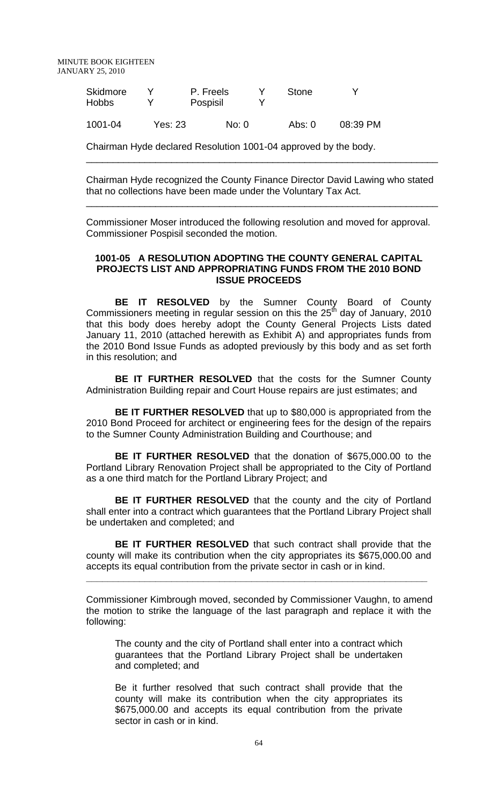MINUTE BOOK EIGHTEEN JANUARY 25, 2010

| Skidmore<br><b>Hobbs</b> |     | P. Freels<br>Pospisil | Stone |  |
|--------------------------|-----|-----------------------|-------|--|
| .                        | - - | - -                   |       |  |

1001-04 Yes: 23 No: 0 Abs: 0 08:39 PM

Chairman Hyde declared Resolution 1001-04 approved by the body.

Chairman Hyde recognized the County Finance Director David Lawing who stated that no collections have been made under the Voluntary Tax Act.

\_\_\_\_\_\_\_\_\_\_\_\_\_\_\_\_\_\_\_\_\_\_\_\_\_\_\_\_\_\_\_\_\_\_\_\_\_\_\_\_\_\_\_\_\_\_\_\_\_\_\_\_\_\_\_\_\_\_\_\_\_\_\_\_\_\_

\_\_\_\_\_\_\_\_\_\_\_\_\_\_\_\_\_\_\_\_\_\_\_\_\_\_\_\_\_\_\_\_\_\_\_\_\_\_\_\_\_\_\_\_\_\_\_\_\_\_\_\_\_\_\_\_\_\_\_\_\_\_\_\_\_\_

Commissioner Moser introduced the following resolution and moved for approval. Commissioner Pospisil seconded the motion.

#### **1001-05 A RESOLUTION ADOPTING THE COUNTY GENERAL CAPITAL PROJECTS LIST AND APPROPRIATING FUNDS FROM THE 2010 BOND ISSUE PROCEEDS**

**BE IT RESOLVED** by the Sumner County Board of County Commissioners meeting in regular session on this the  $25<sup>th</sup>$  day of January, 2010 that this body does hereby adopt the County General Projects Lists dated January 11, 2010 (attached herewith as Exhibit A) and appropriates funds from the 2010 Bond Issue Funds as adopted previously by this body and as set forth in this resolution; and

**BE IT FURTHER RESOLVED** that the costs for the Sumner County Administration Building repair and Court House repairs are just estimates; and

 **BE IT FURTHER RESOLVED** that up to \$80,000 is appropriated from the 2010 Bond Proceed for architect or engineering fees for the design of the repairs to the Sumner County Administration Building and Courthouse; and

 **BE IT FURTHER RESOLVED** that the donation of \$675,000.00 to the Portland Library Renovation Project shall be appropriated to the City of Portland as a one third match for the Portland Library Project; and

 **BE IT FURTHER RESOLVED** that the county and the city of Portland shall enter into a contract which guarantees that the Portland Library Project shall be undertaken and completed; and

**BE IT FURTHER RESOLVED** that such contract shall provide that the county will make its contribution when the city appropriates its \$675,000.00 and accepts its equal contribution from the private sector in cash or in kind.

**\_\_\_\_\_\_\_\_\_\_\_\_\_\_\_\_\_\_\_\_\_\_\_\_\_\_\_\_\_\_\_\_\_\_\_\_\_\_\_\_\_\_\_\_\_\_\_\_\_\_\_\_\_\_\_\_\_\_\_\_\_\_\_\_** 

Commissioner Kimbrough moved, seconded by Commissioner Vaughn, to amend the motion to strike the language of the last paragraph and replace it with the following:

The county and the city of Portland shall enter into a contract which guarantees that the Portland Library Project shall be undertaken and completed; and

Be it further resolved that such contract shall provide that the county will make its contribution when the city appropriates its \$675,000.00 and accepts its equal contribution from the private sector in cash or in kind.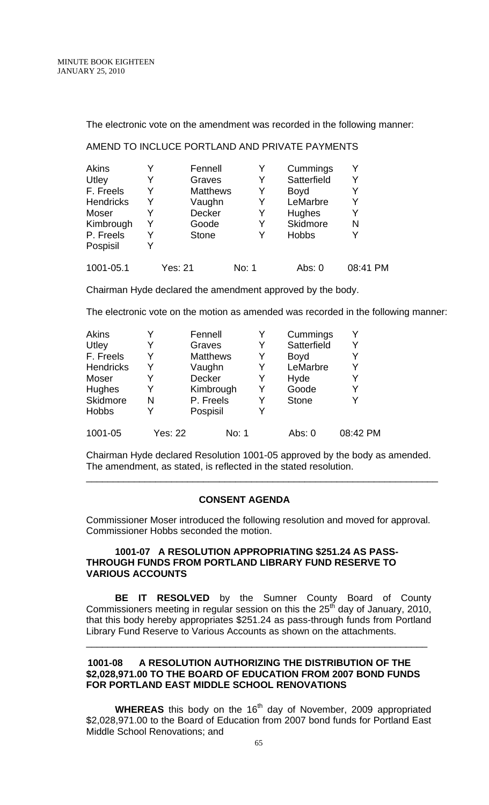The electronic vote on the amendment was recorded in the following manner:

#### AMEND TO INCLUCE PORTLAND AND PRIVATE PAYMENTS

| Akins            |   | Fennell         |       | Cummings      | Υ        |
|------------------|---|-----------------|-------|---------------|----------|
| Utley            | Y | Graves          | Y     | Satterfield   | Y        |
| F. Freels        | Y | <b>Matthews</b> | Y     | <b>Boyd</b>   | Y        |
| <b>Hendricks</b> | Y | Vaughn          | Y     | LeMarbre      | Y        |
| Moser            |   | <b>Decker</b>   |       | <b>Hughes</b> | Y        |
| Kimbrough        | Y | Goode           | Y     | Skidmore      | N        |
| P. Freels        | Y | <b>Stone</b>    | Y     | <b>Hobbs</b>  | Υ        |
| Pospisil         | V |                 |       |               |          |
| 1001-05.1        |   | Yes: 21         | No: 1 | Abs: 0        | 08:41 PM |

Chairman Hyde declared the amendment approved by the body.

The electronic vote on the motion as amended was recorded in the following manner:

| Akins        |                | Fennell         | Y | Cummings     |          |
|--------------|----------------|-----------------|---|--------------|----------|
| Utley        | Y              | Graves          | Y | Satterfield  | Y        |
| F. Freels    | Y              | <b>Matthews</b> | Y | <b>Boyd</b>  |          |
| Hendricks    | Y              | Vaughn          | Y | LeMarbre     |          |
| Moser        | Y              | Decker          | Y | Hyde         |          |
| Hughes       | Y              | Kimbrough       | Y | Goode        |          |
| Skidmore     | N              | P. Freels       | Y | <b>Stone</b> |          |
| <b>Hobbs</b> | Y              | Pospisil        | Y |              |          |
| 1001-05      | <b>Yes: 22</b> | No: 1           |   | Abs: 0       | 08:42 PM |

Chairman Hyde declared Resolution 1001-05 approved by the body as amended. The amendment, as stated, is reflected in the stated resolution.

\_\_\_\_\_\_\_\_\_\_\_\_\_\_\_\_\_\_\_\_\_\_\_\_\_\_\_\_\_\_\_\_\_\_\_\_\_\_\_\_\_\_\_\_\_\_\_\_\_\_\_\_\_\_\_\_\_\_\_\_\_\_\_\_\_\_

#### **CONSENT AGENDA**

Commissioner Moser introduced the following resolution and moved for approval. Commissioner Hobbs seconded the motion.

#### **1001-07 A RESOLUTION APPROPRIATING \$251.24 AS PASS-THROUGH FUNDS FROM PORTLAND LIBRARY FUND RESERVE TO VARIOUS ACCOUNTS**

**BE IT RESOLVED** by the Sumner County Board of County Commissioners meeting in regular session on this the  $25<sup>th</sup>$  day of January, 2010, that this body hereby appropriates \$251.24 as pass-through funds from Portland Library Fund Reserve to Various Accounts as shown on the attachments.

\_\_\_\_\_\_\_\_\_\_\_\_\_\_\_\_\_\_\_\_\_\_\_\_\_\_\_\_\_\_\_\_\_\_\_\_\_\_\_\_\_\_\_\_\_\_\_\_\_\_\_\_\_\_\_\_\_\_\_\_\_\_\_\_

#### **1001-08 A RESOLUTION AUTHORIZING THE DISTRIBUTION OF THE \$2,028,971.00 TO THE BOARD OF EDUCATION FROM 2007 BOND FUNDS FOR PORTLAND EAST MIDDLE SCHOOL RENOVATIONS**

**WHEREAS** this body on the 16<sup>th</sup> day of November, 2009 appropriated \$2,028,971.00 to the Board of Education from 2007 bond funds for Portland East Middle School Renovations; and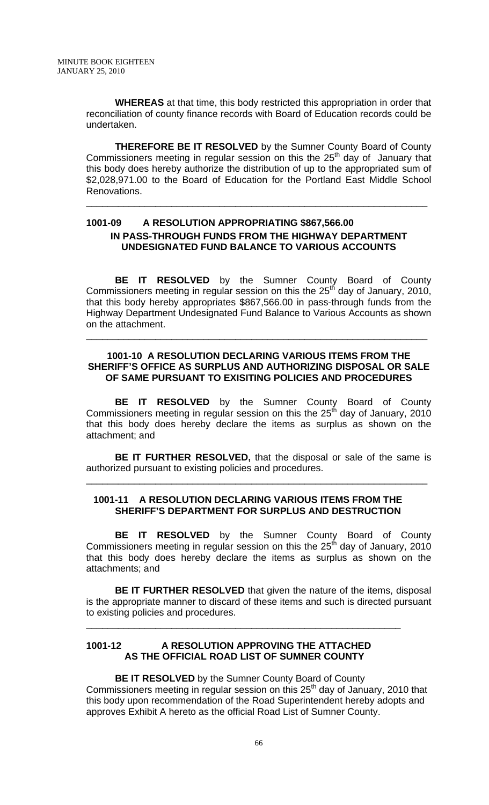**WHEREAS** at that time, this body restricted this appropriation in order that reconciliation of county finance records with Board of Education records could be undertaken.

**THEREFORE BE IT RESOLVED** by the Sumner County Board of County Commissioners meeting in regular session on this the  $25<sup>th</sup>$  day of January that this body does hereby authorize the distribution of up to the appropriated sum of \$2,028,971.00 to the Board of Education for the Portland East Middle School Renovations.

\_\_\_\_\_\_\_\_\_\_\_\_\_\_\_\_\_\_\_\_\_\_\_\_\_\_\_\_\_\_\_\_\_\_\_\_\_\_\_\_\_\_\_\_\_\_\_\_\_\_\_\_\_\_\_\_\_\_\_\_\_\_\_\_

# **1001-09 A RESOLUTION APPROPRIATING \$867,566.00 IN PASS-THROUGH FUNDS FROM THE HIGHWAY DEPARTMENT UNDESIGNATED FUND BALANCE TO VARIOUS ACCOUNTS**

 **BE IT RESOLVED** by the Sumner County Board of County Commissioners meeting in regular session on this the  $25<sup>th</sup>$  day of January, 2010, that this body hereby appropriates \$867,566.00 in pass-through funds from the Highway Department Undesignated Fund Balance to Various Accounts as shown on the attachment.

#### **1001-10 A RESOLUTION DECLARING VARIOUS ITEMS FROM THE SHERIFF'S OFFICE AS SURPLUS AND AUTHORIZING DISPOSAL OR SALE OF SAME PURSUANT TO EXISITING POLICIES AND PROCEDURES**

\_\_\_\_\_\_\_\_\_\_\_\_\_\_\_\_\_\_\_\_\_\_\_\_\_\_\_\_\_\_\_\_\_\_\_\_\_\_\_\_\_\_\_\_\_\_\_\_\_\_\_\_\_\_\_\_\_\_\_\_\_\_\_\_

**BE IT RESOLVED** by the Sumner County Board of County Commissioners meeting in regular session on this the  $25<sup>th</sup>$  day of January, 2010 that this body does hereby declare the items as surplus as shown on the attachment; and

**BE IT FURTHER RESOLVED,** that the disposal or sale of the same is authorized pursuant to existing policies and procedures.

\_\_\_\_\_\_\_\_\_\_\_\_\_\_\_\_\_\_\_\_\_\_\_\_\_\_\_\_\_\_\_\_\_\_\_\_\_\_\_\_\_\_\_\_\_\_\_\_\_\_\_\_\_\_\_\_\_\_\_\_\_\_\_\_

#### **1001-11 A RESOLUTION DECLARING VARIOUS ITEMS FROM THE SHERIFF'S DEPARTMENT FOR SURPLUS AND DESTRUCTION**

 **BE IT RESOLVED** by the Sumner County Board of County Commissioners meeting in regular session on this the  $25<sup>th</sup>$  day of January, 2010 that this body does hereby declare the items as surplus as shown on the attachments; and

**BE IT FURTHER RESOLVED** that given the nature of the items, disposal is the appropriate manner to discard of these items and such is directed pursuant to existing policies and procedures.

\_\_\_\_\_\_\_\_\_\_\_\_\_\_\_\_\_\_\_\_\_\_\_\_\_\_\_\_\_\_\_\_\_\_\_\_\_\_\_\_\_\_\_\_\_\_\_\_\_\_\_\_\_\_\_\_\_\_\_

#### **1001-12 A RESOLUTION APPROVING THE ATTACHED AS THE OFFICIAL ROAD LIST OF SUMNER COUNTY**

**BE IT RESOLVED** by the Sumner County Board of County Commissioners meeting in regular session on this  $25<sup>th</sup>$  day of January, 2010 that this body upon recommendation of the Road Superintendent hereby adopts and approves Exhibit A hereto as the official Road List of Sumner County.